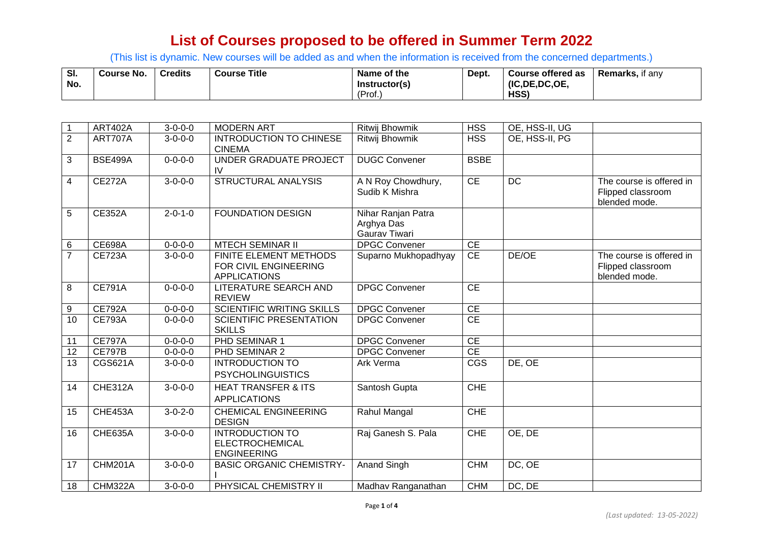(This list is dynamic. New courses will be added as and when the information is received from the concerned departments.)

| SI. | Course No. | <b>Credits</b> | <b>Course Title</b> | Name of the   | Dept. | Course offered as | Remarks.<br>it any |
|-----|------------|----------------|---------------------|---------------|-------|-------------------|--------------------|
| No. |            |                |                     | Instructor(s) |       | (IC, DE, DC, OE,  |                    |
|     |            |                |                     | (Prot.)       |       | HSS)              |                    |

| 1              | <b>ART402A</b> | $3 - 0 - 0 - 0$ | <b>MODERN ART</b>                                                      | <b>Ritwij Bhowmik</b>                             | <b>HSS</b>      | OE, HSS-II, UG |                                                                |
|----------------|----------------|-----------------|------------------------------------------------------------------------|---------------------------------------------------|-----------------|----------------|----------------------------------------------------------------|
| $\overline{2}$ | ART707A        | $3 - 0 - 0 - 0$ | <b>INTRODUCTION TO CHINESE</b><br><b>CINEMA</b>                        | <b>Ritwij Bhowmik</b>                             | <b>HSS</b>      | OE, HSS-II, PG |                                                                |
| 3              | <b>BSE499A</b> | $0 - 0 - 0 - 0$ | UNDER GRADUATE PROJECT<br>IV                                           | <b>DUGC Convener</b>                              | <b>BSBE</b>     |                |                                                                |
| 4              | <b>CE272A</b>  | $3 - 0 - 0 - 0$ | <b>STRUCTURAL ANALYSIS</b>                                             | A N Roy Chowdhury,<br>Sudib K Mishra              | $\overline{CE}$ | <b>DC</b>      | The course is offered in<br>Flipped classroom<br>blended mode. |
| 5              | <b>CE352A</b>  | $2 - 0 - 1 - 0$ | <b>FOUNDATION DESIGN</b>                                               | Nihar Ranjan Patra<br>Arghya Das<br>Gaurav Tiwari |                 |                |                                                                |
| $\,6$          | <b>CE698A</b>  | $0 - 0 - 0 - 0$ | <b>MTECH SEMINAR II</b>                                                | <b>DPGC Convener</b>                              | <b>CE</b>       |                |                                                                |
| $\overline{7}$ | <b>CE723A</b>  | $3 - 0 - 0 - 0$ | FINITE ELEMENT METHODS<br>FOR CIVIL ENGINEERING<br><b>APPLICATIONS</b> | Suparno Mukhopadhyay                              | <b>CE</b>       | DE/OE          | The course is offered in<br>Flipped classroom<br>blended mode. |
| 8              | <b>CE791A</b>  | $0 - 0 - 0 - 0$ | <b>LITERATURE SEARCH AND</b><br><b>REVIEW</b>                          | <b>DPGC Convener</b>                              | CE              |                |                                                                |
| 9              | <b>CE792A</b>  | $0 - 0 - 0 - 0$ | <b>SCIENTIFIC WRITING SKILLS</b>                                       | <b>DPGC Convener</b>                              | $\overline{CE}$ |                |                                                                |
| 10             | <b>CE793A</b>  | $0 - 0 - 0 - 0$ | <b>SCIENTIFIC PRESENTATION</b><br><b>SKILLS</b>                        | <b>DPGC Convener</b>                              | $\overline{CE}$ |                |                                                                |
| 11             | <b>CE797A</b>  | $0 - 0 - 0 - 0$ | PHD SEMINAR 1                                                          | <b>DPGC Convener</b>                              | <b>CE</b>       |                |                                                                |
| 12             | <b>CE797B</b>  | $0 - 0 - 0 - 0$ | PHD SEMINAR 2                                                          | <b>DPGC Convener</b>                              | <b>CE</b>       |                |                                                                |
| 13             | <b>CGS621A</b> | $3 - 0 - 0 - 0$ | <b>INTRODUCTION TO</b><br><b>PSYCHOLINGUISTICS</b>                     | Ark Verma                                         | <b>CGS</b>      | DE, OE         |                                                                |
| 14             | CHE312A        | $3 - 0 - 0 - 0$ | <b>HEAT TRANSFER &amp; ITS</b><br><b>APPLICATIONS</b>                  | Santosh Gupta                                     | <b>CHE</b>      |                |                                                                |
| 15             | CHE453A        | $3 - 0 - 2 - 0$ | <b>CHEMICAL ENGINEERING</b><br><b>DESIGN</b>                           | Rahul Mangal                                      | <b>CHE</b>      |                |                                                                |
| 16             | <b>CHE635A</b> | $3 - 0 - 0 - 0$ | <b>INTRODUCTION TO</b><br><b>ELECTROCHEMICAL</b><br><b>ENGINEERING</b> | Raj Ganesh S. Pala                                | <b>CHE</b>      | OE, DE         |                                                                |
| 17             | <b>CHM201A</b> | $3 - 0 - 0 - 0$ | <b>BASIC ORGANIC CHEMISTRY-</b>                                        | Anand Singh                                       | <b>CHM</b>      | DC, OE         |                                                                |
| 18             | CHM322A        | $3 - 0 - 0 - 0$ | PHYSICAL CHEMISTRY II                                                  | Madhav Ranganathan                                | <b>CHM</b>      | DC, DE         |                                                                |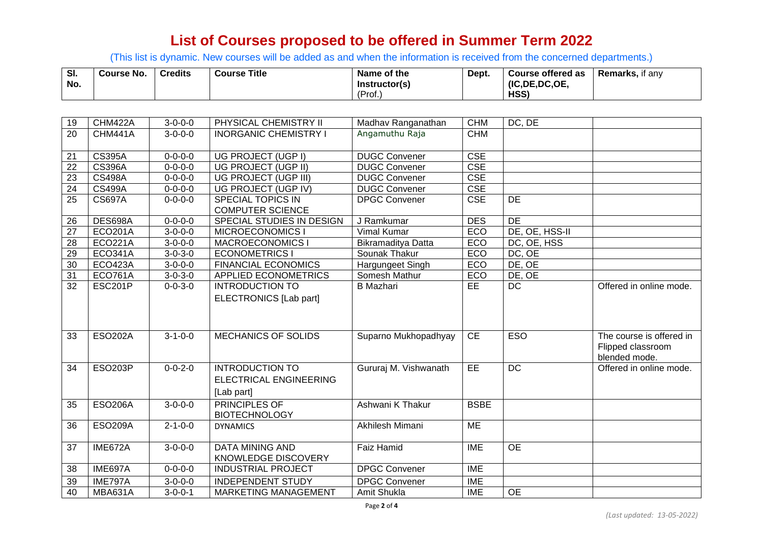(This list is dynamic. New courses will be added as and when the information is received from the concerned departments.)

| SI.<br>No. | <b>Course No.</b> | Credits | <b>Course Title</b> | Name of the<br>Instructor(s) | Dept. | Course offered as<br>(IC.DE.DC.OE. | <b>Remarks, if any</b> |
|------------|-------------------|---------|---------------------|------------------------------|-------|------------------------------------|------------------------|
|            |                   |         |                     | (Prof.                       |       | HSS)                               |                        |

| 19 | CHM422A        | $3 - 0 - 0 - 0$            | PHYSICAL CHEMISTRY II         | Madhav Ranganathan    | <b>CHM</b>  | DC, DE          |                                    |
|----|----------------|----------------------------|-------------------------------|-----------------------|-------------|-----------------|------------------------------------|
| 20 | CHM441A        | $3 - 0 - 0 - 0$            | <b>INORGANIC CHEMISTRY I</b>  | Angamuthu Raja        | <b>CHM</b>  |                 |                                    |
|    |                |                            |                               |                       |             |                 |                                    |
| 21 | <b>CS395A</b>  | $0 - 0 - 0 - 0$            | UG PROJECT (UGP I)            | <b>DUGC Convener</b>  | <b>CSE</b>  |                 |                                    |
| 22 | <b>CS396A</b>  | $0 - 0 - 0 - 0$            | UG PROJECT (UGP II)           | <b>DUGC Convener</b>  | <b>CSE</b>  |                 |                                    |
| 23 | <b>CS498A</b>  | $0 - 0 - 0 - 0$            | UG PROJECT (UGP III)          | <b>DUGC Convener</b>  | <b>CSE</b>  |                 |                                    |
| 24 | <b>CS499A</b>  | $0 - 0 - 0 - 0$            | UG PROJECT (UGP IV)           | <b>DUGC Convener</b>  | <b>CSE</b>  |                 |                                    |
| 25 | <b>CS697A</b>  | $0 - 0 - 0 - 0$            | SPECIAL TOPICS IN             | <b>DPGC Convener</b>  | <b>CSE</b>  | <b>DE</b>       |                                    |
|    |                |                            | <b>COMPUTER SCIENCE</b>       |                       |             |                 |                                    |
| 26 | DES698A        | $0 - 0 - 0 - 0$            | SPECIAL STUDIES IN DESIGN     | J Ramkumar            | <b>DES</b>  | DE              |                                    |
| 27 | <b>ECO201A</b> | $3 - 0 - 0 - 0$            | <b>MICROECONOMICS I</b>       | <b>Vimal Kumar</b>    | ECO         | DE, OE, HSS-II  |                                    |
| 28 | <b>ECO221A</b> | $3 - 0 - 0 - 0$            | <b>MACROECONOMICS I</b>       | Bikramaditya Datta    | ECO         | DC, OE, HSS     |                                    |
| 29 | <b>ECO341A</b> | $3 - 0 - 3 - 0$            | <b>ECONOMETRICS</b>           | Sounak Thakur         | ECO         | DC, OE          |                                    |
| 30 | <b>ECO423A</b> | $3 - 0 - 0 - 0$            | <b>FINANCIAL ECONOMICS</b>    | Hargungeet Singh      | ECO         | DE, OE          |                                    |
| 31 | <b>ECO761A</b> | $3 - 0 - 3 - 0$            | APPLIED ECONOMETRICS          | Somesh Mathur         | ECO         | DE, OE          |                                    |
| 32 | <b>ESC201P</b> | $0 - 0 - 3 - 0$            | <b>INTRODUCTION TO</b>        | <b>B</b> Mazhari      | <b>EE</b>   | $\overline{DC}$ | Offered in online mode.            |
|    |                |                            | <b>ELECTRONICS</b> [Lab part] |                       |             |                 |                                    |
|    |                |                            |                               |                       |             |                 |                                    |
|    |                |                            |                               |                       |             |                 |                                    |
|    |                |                            |                               |                       |             |                 |                                    |
| 33 | <b>ESO202A</b> | $3 - 1 - 0 - 0$            | <b>MECHANICS OF SOLIDS</b>    | Suparno Mukhopadhyay  | <b>CE</b>   | <b>ESO</b>      | The course is offered in           |
|    |                |                            |                               |                       |             |                 | Flipped classroom<br>blended mode. |
| 34 | <b>ESO203P</b> | $0 - 0 - 2 - 0$            | <b>INTRODUCTION TO</b>        | Gururaj M. Vishwanath | EE          | <b>DC</b>       | Offered in online mode.            |
|    |                |                            |                               |                       |             |                 |                                    |
|    |                |                            | ELECTRICAL ENGINEERING        |                       |             |                 |                                    |
|    |                |                            | [Lab part]                    |                       |             |                 |                                    |
| 35 | <b>ESO206A</b> | $3 - 0 - 0 - 0$            | <b>PRINCIPLES OF</b>          | Ashwani K Thakur      | <b>BSBE</b> |                 |                                    |
|    |                |                            | <b>BIOTECHNOLOGY</b>          |                       |             |                 |                                    |
| 36 | <b>ESO209A</b> | $2 - 1 - 0 - 0$            | <b>DYNAMICS</b>               | Akhilesh Mimani       | <b>ME</b>   |                 |                                    |
|    |                |                            |                               |                       |             |                 |                                    |
| 37 | IME672A        | $\overline{3} - 0 - 0 - 0$ | <b>DATA MINING AND</b>        | <b>Faiz Hamid</b>     | <b>IME</b>  | $\overline{OE}$ |                                    |
|    |                |                            | KNOWLEDGE DISCOVERY           |                       |             |                 |                                    |
| 38 | IME697A        | $0 - 0 - 0 - 0$            | <b>INDUSTRIAL PROJECT</b>     | <b>DPGC Convener</b>  | <b>IME</b>  |                 |                                    |
| 39 | IME797A        | $3 - 0 - 0 - 0$            | <b>INDEPENDENT STUDY</b>      | <b>DPGC Convener</b>  | <b>IME</b>  |                 |                                    |
| 40 | <b>MBA631A</b> | $3 - 0 - 0 - 1$            | <b>MARKETING MANAGEMENT</b>   | Amit Shukla           | <b>IME</b>  | <b>OE</b>       |                                    |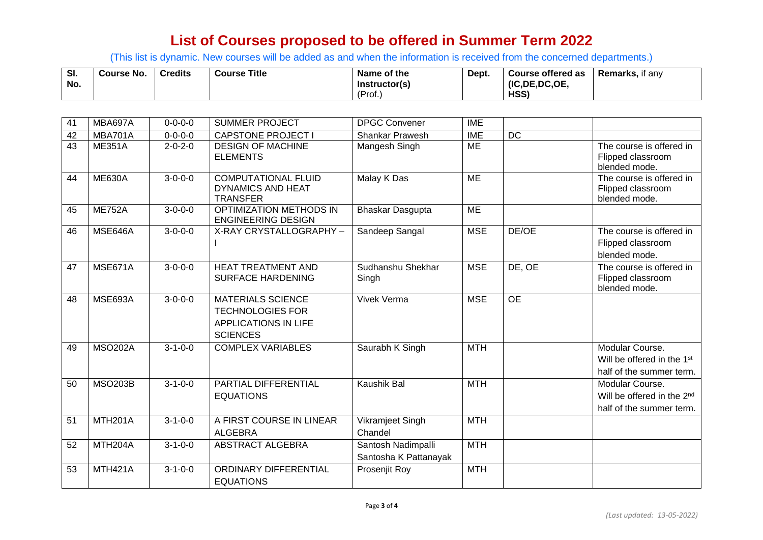(This list is dynamic. New courses will be added as and when the information is received from the concerned departments.)

| SI. | <b>Course No.</b> | <b>Credits</b> | <b>Course Title</b> | Name of the   | Dept. | Course offered as | <b>Remarks.</b> if any |
|-----|-------------------|----------------|---------------------|---------------|-------|-------------------|------------------------|
| No. |                   |                |                     | Instructor(s) |       | (IC, DE, DC, OE,  |                        |
|     |                   |                |                     | (Prof.        |       | HSS)              |                        |

| 41 | MBA697A              | $0 - 0 - 0 - 0$ | <b>SUMMER PROJECT</b>                                                                          | <b>DPGC Convener</b>                        | <b>IME</b> |                 |                                                                                       |
|----|----------------------|-----------------|------------------------------------------------------------------------------------------------|---------------------------------------------|------------|-----------------|---------------------------------------------------------------------------------------|
| 42 | MBA701A              | $0 - 0 - 0 - 0$ | <b>CAPSTONE PROJECT I</b>                                                                      | <b>Shankar Prawesh</b>                      | <b>IME</b> | <b>DC</b>       |                                                                                       |
| 43 | <b>ME351A</b>        | $2 - 0 - 2 - 0$ | <b>DESIGN OF MACHINE</b><br><b>ELEMENTS</b>                                                    | Mangesh Singh                               | <b>ME</b>  |                 | The course is offered in<br>Flipped classroom<br>blended mode.                        |
| 44 | <b>ME630A</b>        | $3 - 0 - 0 - 0$ | <b>COMPUTATIONAL FLUID</b><br><b>DYNAMICS AND HEAT</b><br><b>TRANSFER</b>                      | Malay K Das                                 | <b>ME</b>  |                 | The course is offered in<br>Flipped classroom<br>blended mode.                        |
| 45 | <b>ME752A</b>        | $3 - 0 - 0 - 0$ | <b>OPTIMIZATION METHODS IN</b><br><b>ENGINEERING DESIGN</b>                                    | Bhaskar Dasgupta                            | <b>ME</b>  |                 |                                                                                       |
| 46 | MSE646A              | $3 - 0 - 0 - 0$ | X-RAY CRYSTALLOGRAPHY -                                                                        | Sandeep Sangal                              | <b>MSE</b> | DE/OE           | The course is offered in<br>Flipped classroom<br>blended mode.                        |
| 47 | MSE671A              | $3 - 0 - 0 - 0$ | <b>HEAT TREATMENT AND</b><br><b>SURFACE HARDENING</b>                                          | Sudhanshu Shekhar<br>Singh                  | <b>MSE</b> | DE, OE          | The course is offered in<br>Flipped classroom<br>blended mode.                        |
| 48 | MSE693A              | $3 - 0 - 0 - 0$ | <b>MATERIALS SCIENCE</b><br><b>TECHNOLOGIES FOR</b><br>APPLICATIONS IN LIFE<br><b>SCIENCES</b> | <b>Vivek Verma</b>                          | <b>MSE</b> | $\overline{OE}$ |                                                                                       |
| 49 | <b>MSO202A</b>       | $3 - 1 - 0 - 0$ | <b>COMPLEX VARIABLES</b>                                                                       | Saurabh K Singh                             | <b>MTH</b> |                 | Modular Course.<br>Will be offered in the 1 <sup>st</sup><br>half of the summer term. |
| 50 | <b>MSO203B</b>       | $3 - 1 - 0 - 0$ | PARTIAL DIFFERENTIAL<br><b>EQUATIONS</b>                                                       | <b>Kaushik Bal</b>                          | <b>MTH</b> |                 | Modular Course.<br>Will be offered in the 2 <sup>nd</sup><br>half of the summer term. |
| 51 | MTH <sub>201</sub> A | $3 - 1 - 0 - 0$ | A FIRST COURSE IN LINEAR<br><b>ALGEBRA</b>                                                     | Vikramjeet Singh<br>Chandel                 | <b>MTH</b> |                 |                                                                                       |
| 52 | MTH <sub>204</sub> A | $3 - 1 - 0 - 0$ | ABSTRACT ALGEBRA                                                                               | Santosh Nadimpalli<br>Santosha K Pattanayak | <b>MTH</b> |                 |                                                                                       |
| 53 | <b>MTH421A</b>       | $3 - 1 - 0 - 0$ | ORDINARY DIFFERENTIAL<br><b>EQUATIONS</b>                                                      | Prosenjit Roy                               | <b>MTH</b> |                 |                                                                                       |